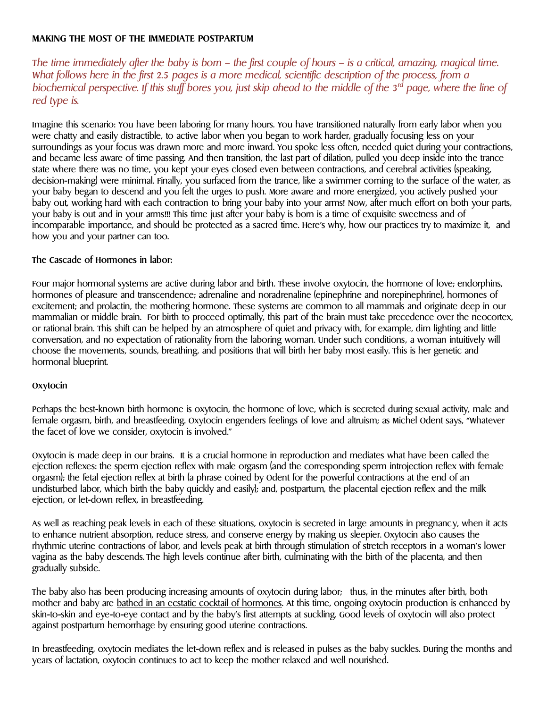## **MAKING THE MOST OF THE IMMEDIATE POSTPARTUM**

*The time immediately after the baby is born – the first couple of hours – is a critical, amazing, magical time. What follows here in the first 2.5 pages is a more medical, scientific description of the process, from a biochemical perspective. If this stuff bores you, just skip ahead to the middle of the 3rd page, where the line of red type is.* 

Imagine this scenario: You have been laboring for many hours. You have transitioned naturally from early labor when you were chatty and easily distractible, to active labor when you began to work harder, gradually focusing less on your surroundings as your focus was drawn more and more inward. You spoke less often, needed quiet during your contractions, and became less aware of time passing. And then transition, the last part of dilation, pulled you deep inside into the trance state where there was no time, you kept your eyes closed even between contractions, and cerebral activities (speaking, decision-making) were minimal. Finally, you surfaced from the trance, like a swimmer coming to the surface of the water, as your baby began to descend and you felt the urges to push. More aware and more energized, you actively pushed your baby out, working hard with each contraction to bring your baby into your arms! Now, after much effort on both your parts, your baby is out and in your arms!!! This time just after your baby is born is a time of exquisite sweetness and of incomparable importance, and should be protected as a sacred time. Here's why, how our practices try to maximize it, and how you and your partner can too.

### **The Cascade of Hormones in labor:**

Four major hormonal systems are active during labor and birth. These involve oxytocin, the hormone of love; endorphins, hormones of pleasure and transcendence; adrenaline and noradrenaline (epinephrine and norepinephrine), hormones of excitement; and prolactin, the mothering hormone. These systems are common to all mammals and originate deep in our mammalian or middle brain. For birth to proceed optimally, this part of the brain must take precedence over the neocortex, or rational brain. This shift can be helped by an atmosphere of quiet and privacy with, for example, dim lighting and little conversation, and no expectation of rationality from the laboring woman. Under such conditions, a woman intuitively will choose the movements, sounds, breathing, and positions that will birth her baby most easily. This is her genetic and hormonal blueprint.

### **Oxytocin**

Perhaps the best-known birth hormone is oxytocin, the hormone of love, which is secreted during sexual activity, male and female orgasm, birth, and breastfeeding. Oxytocin engenders feelings of love and altruism; as Michel Odent says, "Whatever the facet of love we consider, oxytocin is involved."

Oxytocin is made deep in our brains. It is a crucial hormone in reproduction and mediates what have been called the ejection reflexes: the sperm ejection reflex with male orgasm (and the corresponding sperm introjection reflex with female orgasm); the fetal ejection reflex at birth (a phrase coined by Odent for the powerful contractions at the end of an undisturbed labor, which birth the baby quickly and easily); and, postpartum, the placental ejection reflex and the milk ejection, or let-down reflex, in breastfeeding.

As well as reaching peak levels in each of these situations, oxytocin is secreted in large amounts in pregnancy, when it acts to enhance nutrient absorption, reduce stress, and conserve energy by making us sleepier. Oxytocin also causes the rhythmic uterine contractions of labor, and levels peak at birth through stimulation of stretch receptors in a woman's lower vagina as the baby descends. The high levels continue after birth, culminating with the birth of the placenta, and then gradually subside.

The baby also has been producing increasing amounts of oxytocin during labor; thus, in the minutes after birth, both mother and baby are bathed in an ecstatic cocktail of hormones. At this time, ongoing oxytocin production is enhanced by skin-to-skin and eye-to-eye contact and by the baby's first attempts at suckling. Good levels of oxytocin will also protect against postpartum hemorrhage by ensuring good uterine contractions.

In breastfeeding, oxytocin mediates the let-down reflex and is released in pulses as the baby suckles. During the months and years of lactation, oxytocin continues to act to keep the mother relaxed and well nourished.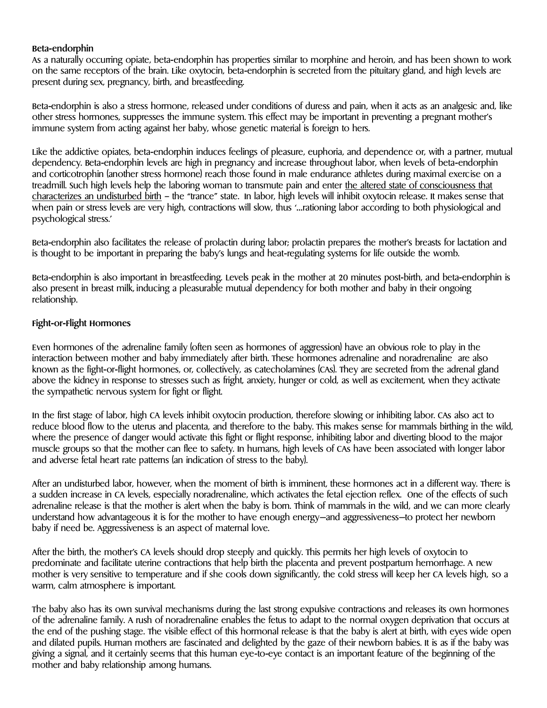## **Beta-endorphin**

As a naturally occurring opiate, beta-endorphin has properties similar to morphine and heroin, and has been shown to work on the same receptors of the brain. Like oxytocin, beta-endorphin is secreted from the pituitary gland, and high levels are present during sex, pregnancy, birth, and breastfeeding.

Beta-endorphin is also a stress hormone, released under conditions of duress and pain, when it acts as an analgesic and, like other stress hormones, suppresses the immune system. This effect may be important in preventing a pregnant mother's immune system from acting against her baby, whose genetic material is foreign to hers.

Like the addictive opiates, beta-endorphin induces feelings of pleasure, euphoria, and dependence or, with a partner, mutual dependency. Beta-endorphin levels are high in pregnancy and increase throughout labor, when levels of beta-endorphin and corticotrophin (another stress hormone) reach those found in male endurance athletes during maximal exercise on a treadmill. Such high levels help the laboring woman to transmute pain and enter the altered state of consciousness that characterizes an undisturbed birth – the "trance" state. In labor, high levels will inhibit oxytocin release. It makes sense that when pain or stress levels are very high, contractions will slow, thus '…rationing labor according to both physiological and psychological stress.'

Beta-endorphin also facilitates the release of prolactin during labor; prolactin prepares the mother's breasts for lactation and is thought to be important in preparing the baby's lungs and heat-regulating systems for life outside the womb.

Beta-endorphin is also important in breastfeeding. Levels peak in the mother at 20 minutes post-birth, and beta-endorphin is also present in breast milk, inducing a pleasurable mutual dependency for both mother and baby in their ongoing relationship.

## **Fight-or-Flight Hormones**

Even hormones of the adrenaline family (often seen as hormones of aggression) have an obvious role to play in the interaction between mother and baby immediately after birth. These hormones adrenaline and noradrenaline are also known as the fight-or-flight hormones, or, collectively, as catecholamines (CAs). They are secreted from the adrenal gland above the kidney in response to stresses such as fright, anxiety, hunger or cold, as well as excitement, when they activate the sympathetic nervous system for fight or flight.

In the first stage of labor, high CA levels inhibit oxytocin production, therefore slowing or inhibiting labor. CAs also act to reduce blood flow to the uterus and placenta, and therefore to the baby. This makes sense for mammals birthing in the wild, where the presence of danger would activate this fight or flight response, inhibiting labor and diverting blood to the major muscle groups so that the mother can flee to safety. In humans, high levels of CAs have been associated with longer labor and adverse fetal heart rate patterns (an indication of stress to the baby).

After an undisturbed labor, however, when the moment of birth is imminent, these hormones act in a different way. There is a sudden increase in CA levels, especially noradrenaline, which activates the fetal ejection reflex. One of the effects of such adrenaline release is that the mother is alert when the baby is born. Think of mammals in the wild, and we can more clearly understand how advantageous it is for the mother to have enough energy—and aggressiveness—to protect her newborn baby if need be. Aggressiveness is an aspect of maternal love.

After the birth, the mother's CA levels should drop steeply and quickly. This permits her high levels of oxytocin to predominate and facilitate uterine contractions that help birth the placenta and prevent postpartum hemorrhage. A new mother is very sensitive to temperature and if she cools down significantly, the cold stress will keep her CA levels high, so a warm, calm atmosphere is important.

The baby also has its own survival mechanisms during the last strong expulsive contractions and releases its own hormones of the adrenaline family. A rush of noradrenaline enables the fetus to adapt to the normal oxygen deprivation that occurs at the end of the pushing stage. The visible effect of this hormonal release is that the baby is alert at birth, with eyes wide open and dilated pupils. Human mothers are fascinated and delighted by the gaze of their newborn babies. It is as if the baby was giving a signal, and it certainly seems that this human eye-to-eye contact is an important feature of the beginning of the mother and baby relationship among humans.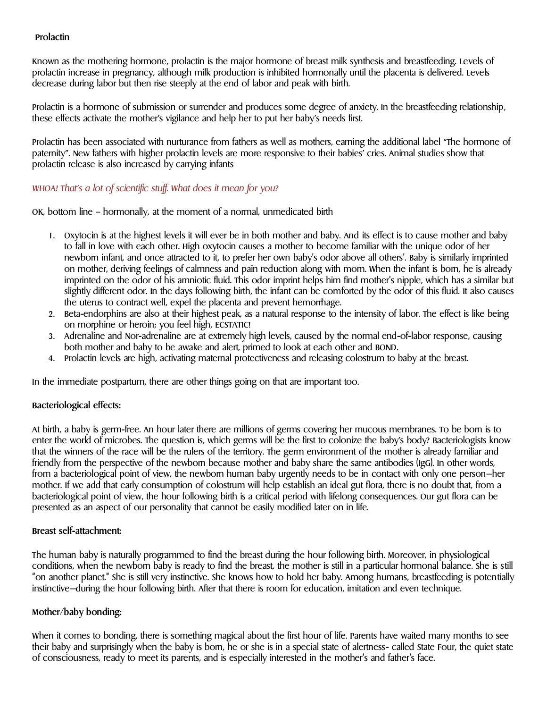## **Prolactin**

Known as the mothering hormone, prolactin is the major hormone of breast milk synthesis and breastfeeding. Levels of prolactin increase in pregnancy, although milk production is inhibited hormonally until the placenta is delivered. Levels decrease during labor but then rise steeply at the end of labor and peak with birth.

Prolactin is a hormone of submission or surrender and produces some degree of anxiety. In the breastfeeding relationship, these effects activate the mother's vigilance and help her to put her baby's needs first.

Prolactin has been associated with nurturance from fathers as well as mothers, earning the additional label "The hormone of paternity". New fathers with higher prolactin levels are more responsive to their babies' cries. Animal studies show that prolactin release is also increased by carrying infants.

# *WHOA! That's a lot of scientific stuff. What does it mean for you?*

OK, bottom line – hormonally, at the moment of a normal, unmedicated birth

- 1. Oxytocin is at the highest levels it will ever be in both mother and baby. And its effect is to cause mother and baby to fall in love with each other. High oxytocin causes a mother to become familiar with the unique odor of her newborn infant, and once attracted to it, to prefer her own baby's odor above all others'. Baby is similarly imprinted on mother, deriving feelings of calmness and pain reduction along with mom. When the infant is born, he is already imprinted on the odor of his amniotic fluid. This odor imprint helps him find mother's nipple, which has a similar but slightly different odor. In the days following birth, the infant can be comforted by the odor of this fluid. It also causes the uterus to contract well, expel the placenta and prevent hemorrhage.
- 2. Beta-endorphins are also at their highest peak, as a natural response to the intensity of labor. The effect is like being on morphine or heroin; you feel high, ECSTATIC!
- 3. Adrenaline and Nor-adrenaline are at extremely high levels, caused by the normal end-of-labor response, causing both mother and baby to be awake and alert, primed to look at each other and BOND.
- 4. Prolactin levels are high, activating maternal protectiveness and releasing colostrum to baby at the breast.

In the immediate postpartum, there are other things going on that are important too.

### **Bacteriological effects:**

At birth, a baby is germ-free. An hour later there are millions of germs covering her mucous membranes. To be born is to enter the world of microbes. The question is, which germs will be the first to colonize the baby's body? Bacteriologists know that the winners of the race will be the rulers of the territory. The germ environment of the mother is already familiar and friendly from the perspective of the newborn because mother and baby share the same antibodies (IgG). In other words, from a bacteriological point of view, the newborn human baby urgently needs to be in contact with only one person—her mother. If we add that early consumption of colostrum will help establish an ideal gut flora, there is no doubt that, from a bacteriological point of view, the hour following birth is a critical period with lifelong consequences. Our gut flora can be presented as an aspect of our personality that cannot be easily modified later on in life.

### **Breast self-attachment:**

The human baby is naturally programmed to find the breast during the hour following birth. Moreover, in physiological conditions, when the newborn baby is ready to find the breast, the mother is still in a particular hormonal balance. She is still "on another planet." She is still very instinctive. She knows how to hold her baby. Among humans, breastfeeding is potentially instinctive—during the hour following birth. After that there is room for education, imitation and even technique.

### **Mother/baby bonding:**

When it comes to bonding, there is something magical about the first hour of life. Parents have waited many months to see their baby and surprisingly when the baby is born, he or she is in a special state of alertness- called State Four, the quiet state of consciousness, ready to meet its parents, and is especially interested in the mother's and father's face.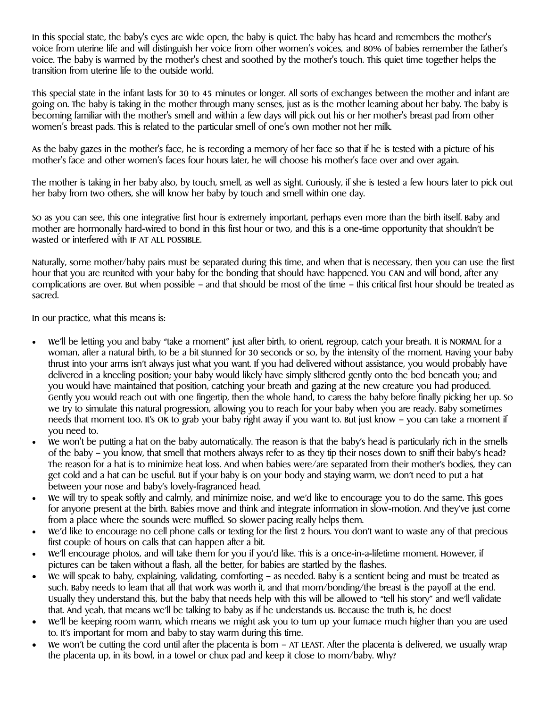In this special state, the baby's eyes are wide open, the baby is quiet. The baby has heard and remembers the mother's voice from uterine life and will distinguish her voice from other women's voices, and 80% of babies remember the father's voice. The baby is warmed by the mother's chest and soothed by the mother's touch. This quiet time together helps the transition from uterine life to the outside world.

This special state in the infant lasts for 30 to 45 minutes or longer. All sorts of exchanges between the mother and infant are going on. The baby is taking in the mother through many senses, just as is the mother learning about her baby. The baby is becoming familiar with the mother's smell and within a few days will pick out his or her mother's breast pad from other women's breast pads. This is related to the particular smell of one's own mother not her milk.

As the baby gazes in the mother's face, he is recording a memory of her face so that if he is tested with a picture of his mother's face and other women's faces four hours later, he will choose his mother's face over and over again.

The mother is taking in her baby also, by touch, smell, as well as sight. Curiously, if she is tested a few hours later to pick out her baby from two others, she will know her baby by touch and smell within one day.

So as you can see, this one integrative first hour is extremely important, perhaps even more than the birth itself. Baby and mother are hormonally hard-wired to bond in this first hour or two, and this is a one-time opportunity that shouldn't be wasted or interfered with IF AT ALL POSSIBLE.

Naturally, some mother/baby pairs must be separated during this time, and when that is necessary, then you can use the first hour that you are reunited with your baby for the bonding that should have happened. You CAN and will bond, after any complications are over. But when possible – and that should be most of the time – this critical first hour should be treated as sacred.

In our practice, what this means is:

- We'll be letting you and baby "take a moment" just after birth, to orient, regroup, catch your breath. It is NORMAL for a woman, after a natural birth, to be a bit stunned for 30 seconds or so, by the intensity of the moment. Having your baby thrust into your arms isn't always just what you want. If you had delivered without assistance, you would probably have delivered in a kneeling position; your baby would likely have simply slithered gently onto the bed beneath you; and you would have maintained that position, catching your breath and gazing at the new creature you had produced. Gently you would reach out with one fingertip, then the whole hand, to caress the baby before finally picking her up. So we try to simulate this natural progression, allowing you to reach for your baby when you are ready. Baby sometimes needs that moment too. It's OK to grab your baby right away if you want to. But just know – you can take a moment if you need to.
- We won't be putting a hat on the baby automatically. The reason is that the baby's head is particularly rich in the smells of the baby – you know, that smell that mothers always refer to as they tip their noses down to sniff their baby's head? The reason for a hat is to minimize heat loss. And when babies were/are separated from their mother's bodies, they can get cold and a hat can be useful. But if your baby is on your body and staying warm, we don't need to put a hat between your nose and baby's lovely-fragranced head.
- We will try to speak softly and calmly, and minimize noise, and we'd like to encourage you to do the same. This goes for anyone present at the birth. Babies move and think and integrate information in slow-motion. And they've just come from a place where the sounds were muffled. So slower pacing really helps them.
- We'd like to encourage no cell phone calls or texting for the first 2 hours. You don't want to waste any of that precious first couple of hours on calls that can happen after a bit.
- We'll encourage photos, and will take them for you if you'd like. This is a once-in-a-lifetime moment. However, if pictures can be taken without a flash, all the better, for babies are startled by the flashes.
- We will speak to baby, explaining, validating, comforting as needed. Baby is a sentient being and must be treated as such. Baby needs to learn that all that work was worth it, and that mom/bonding/the breast is the payoff at the end. Usually they understand this, but the baby that needs help with this will be allowed to "tell his story" and we'll validate that. And yeah, that means we'll be talking to baby as if he understands us. Because the truth is, he does!
- We'll be keeping room warm, which means we might ask you to turn up your furnace much higher than you are used to. It's important for mom and baby to stay warm during this time.
- We won't be cutting the cord until after the placenta is born AT LEAST. After the placenta is delivered, we usually wrap the placenta up, in its bowl, in a towel or chux pad and keep it close to mom/baby. Why?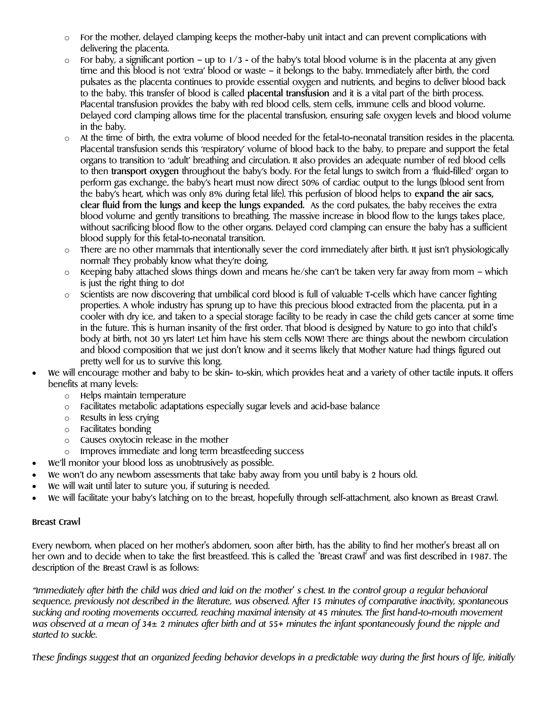- $\circ$  For the mother, delayed clamping keeps the mother-baby unit intact and can prevent complications with delivering the placenta.
- For baby, a significant portion up to  $1/3$  of the baby's total blood volume is in the placenta at any given time and this blood is not 'extra' blood or waste – it belongs to the baby. Immediately after birth, the cord pulsates as the placenta continues to provide essential oxygen and nutrients, and begins to deliver blood back to the baby. This transfer of blood is called **placental transfusion** and it is a vital part of the birth process. Placental transfusion provides the baby with red blood cells, stem cells, immune cells and blood volume. Delayed cord clamping allows time for the placental transfusion, ensuring safe oxygen levels and blood volume in the baby*.*
- o At the time of birth, the extra volume of blood needed for the fetal-to-neonatal transition resides in the placenta. Placental transfusion sends this 'respiratory' volume of blood back to the baby, to prepare and support the fetal organs to transition to 'adult' breathing and circulation. It also provides an adequate number of red blood cells to then **transport oxygen** throughout the baby's body. For the fetal lungs to switch from a 'fluid-filled' organ to perform gas exchange, the baby's heart must now direct 50% of cardiac output to the lungs (blood sent from the baby's heart, which was only 8% during fetal life). This perfusion of blood helps to **expand the air sacs, clear fluid from the lungs and keep the lungs expanded.** As the cord pulsates, the baby receives the extra blood volume and gently transitions to breathing. The massive increase in blood flow to the lungs takes place, without sacrificing blood flow to the other organs. Delayed cord clamping can ensure the baby has a sufficient blood supply for this fetal-to-neonatal transition.
- $\circ$  There are no other mammals that intentionally sever the cord immediately after birth. It just isn't physiologically normal! They probably know what they're doing.
- Keeping baby attached slows things down and means he/she can't be taken very far away from mom which is just the right thing to do!
- scientists are now discovering that umbilical cord blood is full of valuable T-cells which have cancer fighting properties. A whole industry has sprung up to have this precious blood extracted from the placenta, put in a cooler with dry ice, and taken to a special storage facility to be ready in case the child gets cancer at some time in the future. This is human insanity of the first order. That blood is designed by Nature to go into that child's body at birth, not 30 yrs later! Let him have his stem cells NOW! There are things about the newborn circulation and blood composition that we just don't know and it seems likely that Mother Nature had things figured out pretty well for us to survive this long.
- We will encourage mother and baby to be skin- to-skin, which provides heat and a variety of other tactile inputs. It offers benefits at many levels:
	- o Helps maintain temperature
	- o Facilitates metabolic adaptations especially sugar levels and acid-base balance
	- o Results in less crying
	- o Facilitates bonding
	- o Causes oxytocin release in the mother
	- o Improves immediate and long term breastfeeding success
- We'll monitor your blood loss as unobtrusively as possible.
- We won't do any newborn assessments that take baby away from you until baby is 2 hours old.
- We will wait until later to suture you, if suturing is needed.
- We will facilitate your baby's latching on to the breast, hopefully through self-attachment, also known as Breast Crawl.

### **Breast Crawl**

Every newborn, when placed on her mother's abdomen, soon after birth, has the ability to find her mother's breast all on her own and to decide when to take the first breastfeed. This is called the 'Breast Crawl' and was first described in 1987. The description of the Breast Crawl is as follows:

*"Immediately after birth the child was dried and laid on the mother's chest. In the control group a regular behavioral sequence, previously not described in the literature, was observed. After 15 minutes of comparative inactivity, spontaneous sucking and rooting movements occurred, reaching maximal intensity at 45 minutes. The first hand-to-mouth movement was observed at a mean of 34± 2 minutes after birth and at 55+ minutes the infant spontaneously found the nipple and started to suckle.*

*These findings suggest that an organized feeding behavior develops in a predictable way during the first hours of life, initially*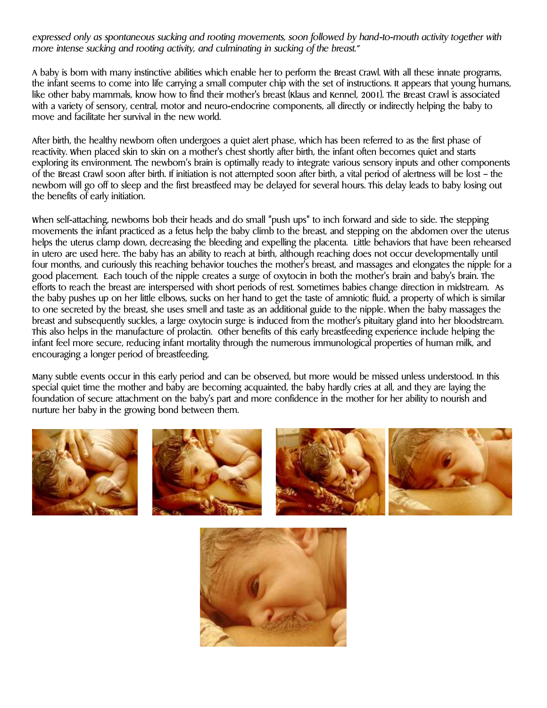### *expressed only as spontaneous sucking and rooting movements, soon followed by hand-to-mouth activity together with more intense sucking and rooting activity, and culminating in sucking of the breast."*

A baby is born with many instinctive abilities which enable her to perform the Breast Crawl. With all these innate programs, the infant seems to come into life carrying a small computer chip with the set of instructions. It appears that young humans, like other baby mammals, know how to find their mother's breast (Klaus and Kennel, 2001). The Breast Crawl is associated with a variety of sensory, central, motor and neuro-endocrine components, all directly or indirectly helping the baby to move and facilitate her survival in the new world.

After birth, the healthy newborn often undergoes a quiet alert phase, which has been referred to as the first phase of reactivity. When placed skin to skin on a mother's chest shortly after birth, the infant often becomes quiet and starts exploring its environment. The newborn's brain is optimally ready to integrate various sensory inputs and other components of the Breast Crawl soon after birth. If initiation is not attempted soon after birth, a vital period of alertness will be lost – the newborn will go off to sleep and the first breastfeed may be delayed for several hours. This delay leads to baby losing out the benefits of early initiation.

When self-attaching, newborns bob their heads and do small "push ups" to inch forward and side to side. The stepping movements the infant practiced as a fetus help the baby climb to the breast, and stepping on the abdomen over the uterus helps the uterus clamp down, decreasing the bleeding and expelling the placenta. Little behaviors that have been rehearsed in utero are used here. The baby has an ability to reach at birth, although reaching does not occur developmentally until four months, and curiously this reaching behavior touches the mother's breast, and massages and elongates the nipple for a good placement. Each touch of the nipple creates a surge of oxytocin in both the mother's brain and baby's brain. The efforts to reach the breast are interspersed with short periods of rest. Sometimes babies change direction in midstream. As the baby pushes up on her little elbows, sucks on her hand to get the taste of amniotic fluid, a property of which is similar to one secreted by the breast, she uses smell and taste as an additional guide to the nipple. When the baby massages the breast and subsequently suckles, a large oxytocin surge is induced from the mother's pituitary gland into her bloodstream. This also helps in the manufacture of prolactin. Other benefits of this early breastfeeding experience include helping the infant feel more secure, reducing infant mortality through the numerous immunological properties of human milk, and encouraging a longer period of breastfeeding.

Many subtle events occur in this early period and can be observed, but more would be missed unless understood. In this special quiet time the mother and baby are becoming acquainted, the baby hardly cries at all, and they are laying the foundation of secure attachment on the baby's part and more confidence in the mother for her ability to nourish and nurture her baby in the growing bond between them.